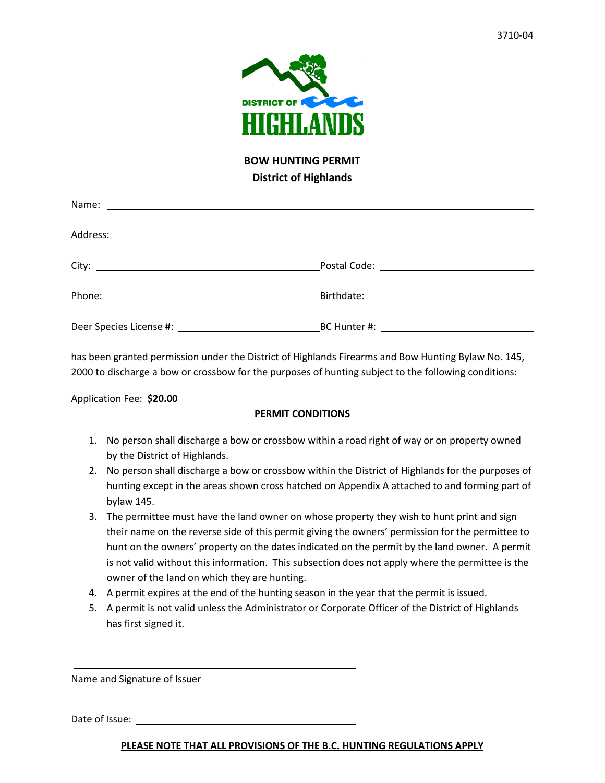

## **BOW HUNTING PERMIT District of Highlands**

has been granted permission under the District of Highlands Firearms and Bow Hunting Bylaw No. 145, 2000 to discharge a bow or crossbow for the purposes of hunting subject to the following conditions:

Application Fee: **\$20.00**

## **PERMIT CONDITIONS**

- 1. No person shall discharge a bow or crossbow within a road right of way or on property owned by the District of Highlands.
- 2. No person shall discharge a bow or crossbow within the District of Highlands for the purposes of hunting except in the areas shown cross hatched on Appendix A attached to and forming part of bylaw 145.
- 3. The permittee must have the land owner on whose property they wish to hunt print and sign their name on the reverse side of this permit giving the owners' permission for the permittee to hunt on the owners' property on the dates indicated on the permit by the land owner. A permit is not valid without this information. This subsection does not apply where the permittee is the owner of the land on which they are hunting.
- 4. A permit expires at the end of the hunting season in the year that the permit is issued.
- 5. A permit is not valid unless the Administrator or Corporate Officer of the District of Highlands has first signed it.

Name and Signature of Issuer

Date of Issue:

**PLEASE NOTE THAT ALL PROVISIONS OF THE B.C. HUNTING REGULATIONS APPLY**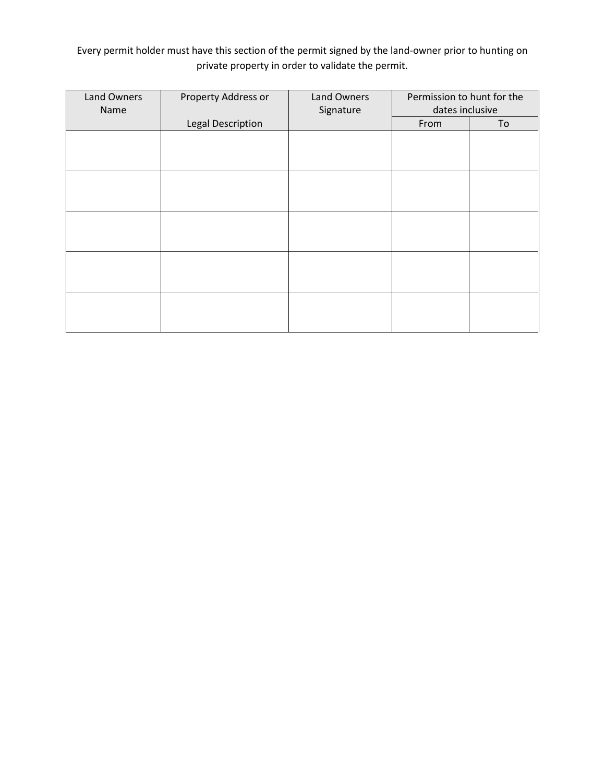Every permit holder must have this section of the permit signed by the land-owner prior to hunting on private property in order to validate the permit.

| Land Owners<br>Name | Property Address or      | <b>Land Owners</b><br>Signature | Permission to hunt for the<br>dates inclusive |    |
|---------------------|--------------------------|---------------------------------|-----------------------------------------------|----|
|                     | <b>Legal Description</b> |                                 | From                                          | To |
|                     |                          |                                 |                                               |    |
|                     |                          |                                 |                                               |    |
|                     |                          |                                 |                                               |    |
|                     |                          |                                 |                                               |    |
|                     |                          |                                 |                                               |    |
|                     |                          |                                 |                                               |    |
|                     |                          |                                 |                                               |    |
|                     |                          |                                 |                                               |    |
|                     |                          |                                 |                                               |    |
|                     |                          |                                 |                                               |    |
|                     |                          |                                 |                                               |    |